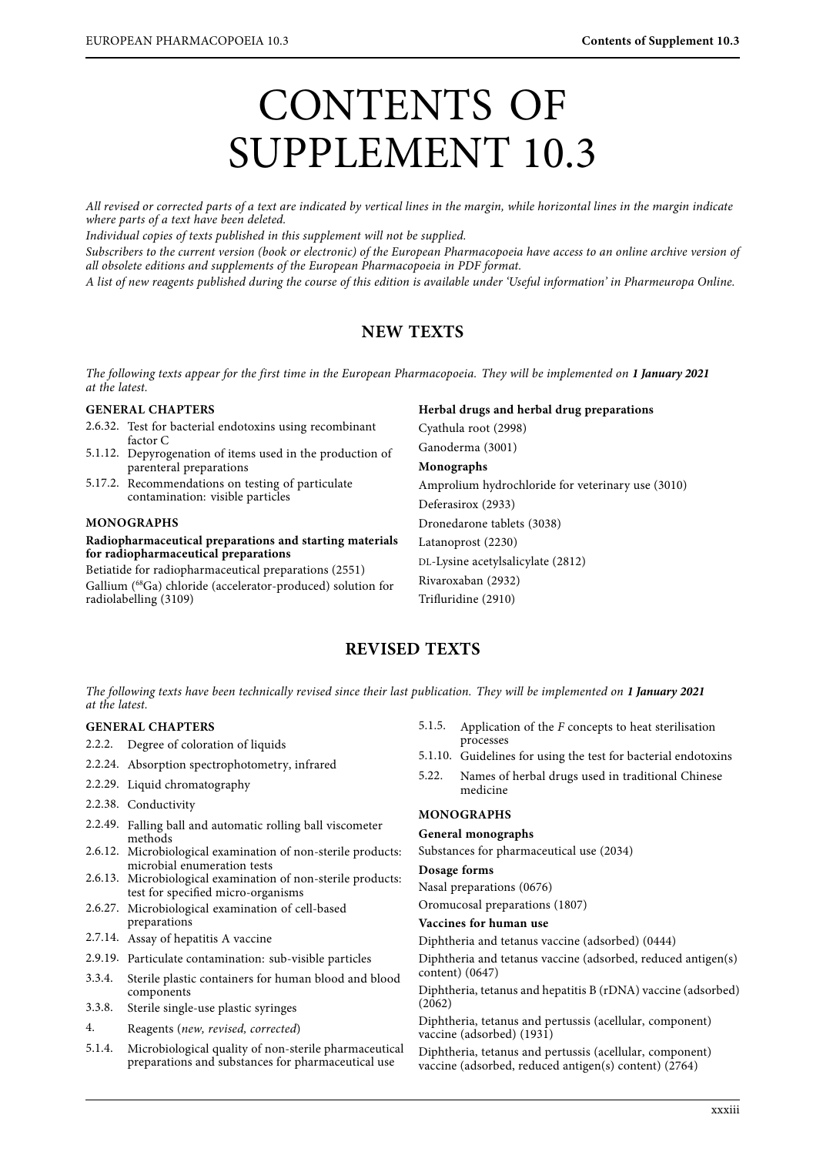# CONTENTS OF SUPPLEMENT 10.3

All revised or corrected parts of a text are indicated by vertical lines in the margin, while horizontal lines in the margin indicate where parts of a text have been deleted.

Individual copies of texts published in this supplement will not be supplied.

Subscribers to the current version (book or electronic) of the European Pharmacopoeia have access to an online archive version of all obsolete editions and supplements of the European Pharmacopoeia in PDF format.

 $\alpha$  list of new reggents published during the course of this edition is evailable under To A list of new reagents published during the course of this edition is available under 'Useful information' in Pharmeuropa Online.

# **NEW TEXTS**

The following texts appear for the first time in the European Pharmacopoeia. They will be implemented on **1 January 2021**

## **GENERAL CHAPTERS**

- 2.6.32. Test for bacterial endotoxins using recombinant factor C
- 5.1.12. Depyrogenation of items used in the production of parenteral preparations
- 5.17.2. Recommendations on testing of particulate contamination: visible particles

### **MONOGRAPHS**

### **Radiopharmaceutical preparations and starting materials for radiopharmaceutical preparations**

Betiatide for radiopharmaceutical preparations (2551) Gallium (68Ga) chloride (accelerator-produced) solution for radiolabelling (3109)

**Herbal drugs and herbal drug preparations** Cyathula root (2998) Ganoderma (3001) **Monographs** Amprolium hydrochloride for veterinary use (3010) Deferasirox (2933) Dronedarone tablets (3038) Latanoprost (2230) DL-Lysine acetylsalicylate (2812) Rivaroxaban (2932) Trifluridine (2910)

# **REVISED TEXTS**

The following texts have been technically revised since their last publication. They will be implemented on **1 January 2021**

## **GENERAL CHAPTERS**

- 2.2.2. Degree of coloration of liquids
- 2.2.24. Absorption spectrophotometry, infrared
- 2.2.29. Liquid chromatography
- 2.2.38. Conductivity
- 2.2.49. Falling ball and automatic rolling ball viscometer methods
- 2.6.12. Microbiological examination of non-sterile products: microbial enumeration tests
- 2.6.13. Microbiological examination of non-sterile products: test for specified micro-organisms
- 2.6.27. Microbiological examination of cell-based preparations
- 2.7.14. Assay of hepatitis A vaccine
- 2.9.19. Particulate contamination: sub-visible particles
- 3.3.4. Sterile plastic containers for human blood and blood components
- 3.3.8. Sterile single-use plastic syringes
- 4. Reagents (new, revised, corrected)<br>5.1.4. Microbiological quality of non-ste
- Microbiological quality of non-sterile pharmaceutical preparations and substances for pharmaceutical use
- 5.1.5. Application of the F concepts to heat sterilisation processes
- 5.1.10. Guidelines for using the test for bacterial endotoxins
- 5.22. Names of herbal drugs used in traditional Chinese medicine

## **MONOGRAPHS**

### **General monographs**

Substances for pharmaceutical use (2034)

### **Dosage forms**

Nasal preparations (0676)

Oromucosal preparations (1807)

### **Vaccines for human use**

Diphtheria and tetanus vaccine (adsorbed) (0444)

Diphtheria and tetanus vaccine (adsorbed, reduced antigen(s) content) (0647)

Diphtheria, tetanus and hepatitis B (rDNA) vaccine (adsorbed) (2062)

Diphtheria, tetanus and pertussis (acellular, component) vaccine (adsorbed) (1931)

Diphtheria, tetanus and pertussis (acellular, component) vaccine (adsorbed, reduced antigen(s) content) (2764)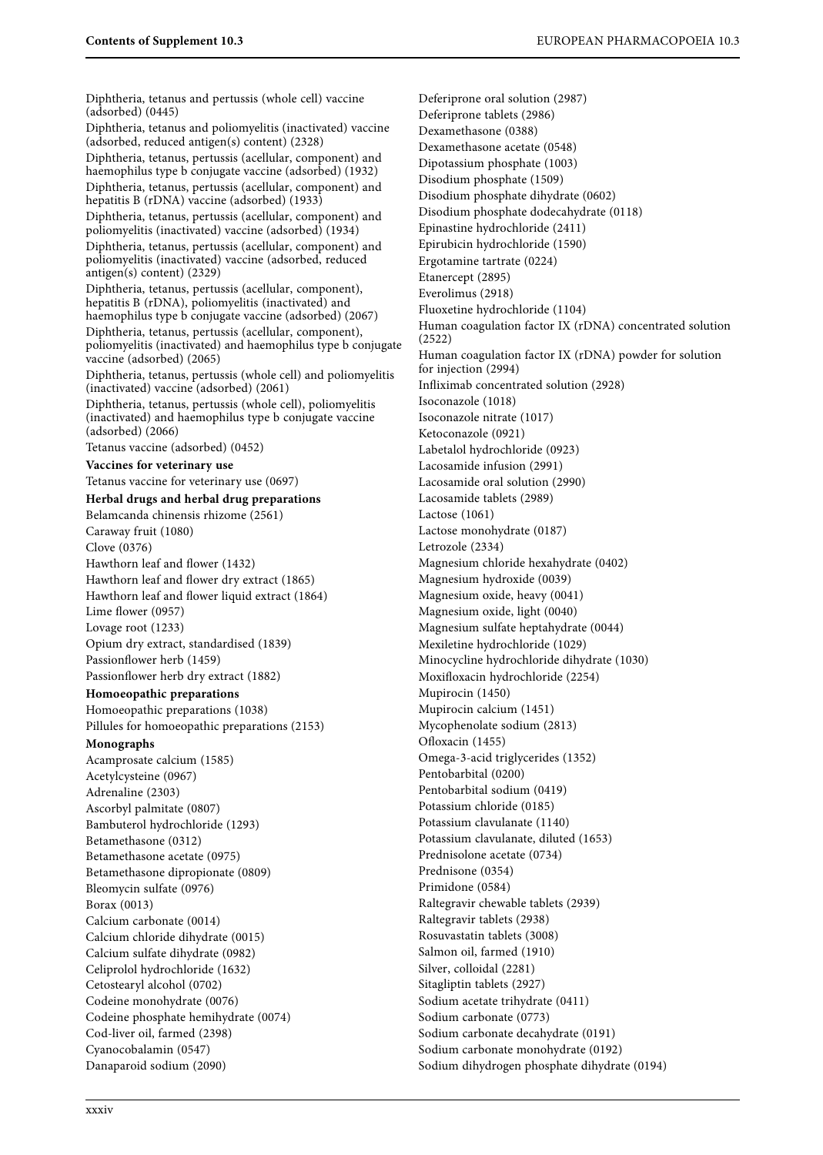Diphtheria, tetanus and pertussis (whole cell) vaccine (adsorbed) (0445) Diphtheria, tetanus and poliomyelitis (inactivated) vaccine (adsorbed, reduced antigen(s) content) (2328) Diphtheria, tetanus, pertussis (acellular, component) and haemophilus type b conjugate vaccine (adsorbed) (1932) Diphtheria, tetanus, pertussis (acellular, component) and hepatitis B (rDNA) vaccine (adsorbed) (1933) Diphtheria, tetanus, pertussis (acellular, component) and poliomyelitis (inactivated) vaccine (adsorbed) (1934) Diphtheria, tetanus, pertussis (acellular, component) and poliomyelitis (inactivated) vaccine (adsorbed, reduced antigen(s) content) (2329) Diphtheria, tetanus, pertussis (acellular, component), hepatitis B (rDNA), poliomyelitis (inactivated) and haemophilus type b conjugate vaccine (adsorbed) (2067) Diphtheria, tetanus, pertussis (acellular, component), poliomyelitis (inactivated) and haemophilus type b conjugate vaccine (adsorbed) (2065) Diphtheria, tetanus, pertussis (whole cell) and poliomyelitis (inactivated) vaccine (adsorbed) (2061) Diphtheria, tetanus, pertussis (whole cell), poliomyelitis (inactivated) and haemophilus type b conjugate vaccine (adsorbed) (2066) Tetanus vaccine (adsorbed) (0452) **Vaccines for veterinary use** Tetanus vaccine for veterinary use (0697) **Herbal drugs and herbal drug preparations** Belamcanda chinensis rhizome (2561) Caraway fruit (1080) Clove (0376) Hawthorn leaf and flower (1432) Hawthorn leaf and flower dry extract (1865) Hawthorn leaf and flower liquid extract (1864) Lime flower (0957) Lovage root (1233) Opium dry extract, standardised (1839) Passionflower herb (1459) Passionflower herb dry extract (1882) **Homoeopathic preparations** Homoeopathic preparations (1038) Pillules for homoeopathic preparations (2153) **Monographs** Acamprosate calcium (1585) Acetylcysteine (0967) Adrenaline (2303) Ascorbyl palmitate (0807) Bambuterol hydrochloride (1293) Betamethasone (0312) Betamethasone acetate (0975) Betamethasone dipropionate (0809) Bleomycin sulfate (0976) Borax (0013) Calcium carbonate (0014) Calcium chloride dihydrate (0015) Calcium sulfate dihydrate (0982) Celiprolol hydrochloride (1632) Cetostearyl alcohol (0702) Codeine monohydrate (0076) Codeine phosphate hemihydrate (0074) Cod-liver oil, farmed (2398) Cyanocobalamin (0547) Danaparoid sodium (2090)

Deferiprone oral solution (2987) Deferiprone tablets (2986) Dexamethasone (0388) Dexamethasone acetate (0548) Dipotassium phosphate (1003) Disodium phosphate (1509) Disodium phosphate dihydrate (0602) Disodium phosphate dodecahydrate (0118) Epinastine hydrochloride (2411) Epirubicin hydrochloride (1590) Ergotamine tartrate (0224) Etanercept (2895) Everolimus (2918) Fluoxetine hydrochloride (1104) Human coagulation factor IX (rDNA) concentrated solution (2522) Human coagulation factor IX (rDNA) powder for solution for injection (2994) Infliximab concentrated solution (2928) Isoconazole (1018) Isoconazole nitrate (1017) Ketoconazole (0921) Labetalol hydrochloride (0923) Lacosamide infusion (2991) Lacosamide oral solution (2990) Lacosamide tablets (2989) Lactose (1061) Lactose monohydrate (0187) Letrozole (2334) Magnesium chloride hexahydrate (0402) Magnesium hydroxide (0039) Magnesium oxide, heavy (0041) Magnesium oxide, light (0040) Magnesium sulfate heptahydrate (0044) Mexiletine hydrochloride (1029) Minocycline hydrochloride dihydrate (1030) Moxifloxacin hydrochloride (2254) Mupirocin (1450) Mupirocin calcium (1451) Mycophenolate sodium (2813) Ofloxacin (1455) Omega-3-acid triglycerides (1352) Pentobarbital (0200) Pentobarbital sodium (0419) Potassium chloride (0185) Potassium clavulanate (1140) Potassium clavulanate, diluted (1653) Prednisolone acetate (0734) Prednisone (0354) Primidone (0584) Raltegravir chewable tablets (2939) Raltegravir tablets (2938) Rosuvastatin tablets (3008) Salmon oil, farmed (1910) Silver, colloidal (2281) Sitagliptin tablets (2927) Sodium acetate trihydrate (0411) Sodium carbonate (0773) Sodium carbonate decahydrate (0191) Sodium carbonate monohydrate (0192) Sodium dihydrogen phosphate dihydrate (0194)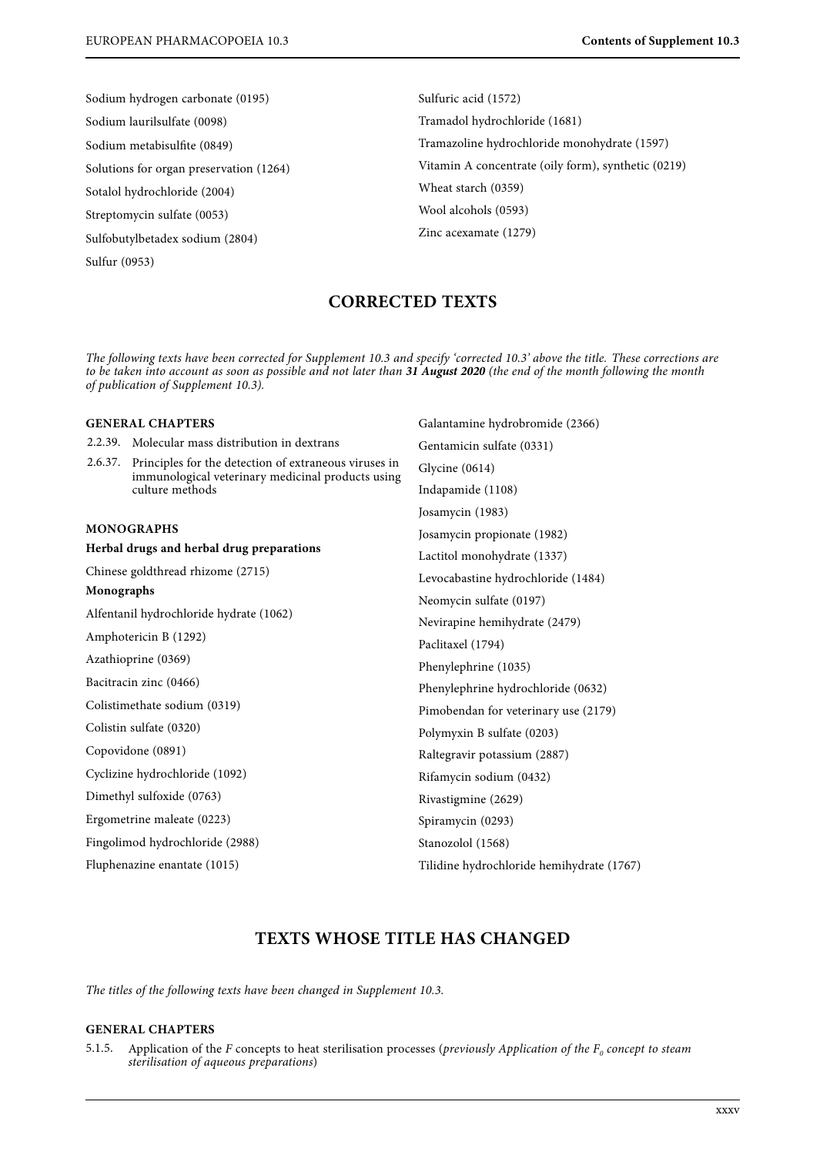Sodium hydrogen carbonate (0195) Sodium laurilsulfate (0098) Sodium metabisulfite (0849) Solutions for organ preservation (1264) Sotalol hydrochloride (2004) Streptomycin sulfate (0053) Sulfobutylbetadex sodium (2804)

Sulfur (0953)

Sulfuric acid (1572) Tramadol hydrochloride (1681) Tramazoline hydrochloride monohydrate (1597) Vitamin A concentrate (oily form), synthetic (0219) Wheat starch (0359) Wool alcohols (0593) Zinc acexamate (1279)

Galantamine hydrobromide (2366)

# **CORRECTED TEXTS**

to be taken into account as soon as possible and not later than 31 August 2020 (the end of the month following the month of bublication of Supplement 10.31 August 2020 (the end of the month following the month following the month following the month following the month following the month following the month following the month following the of publication of Supplement 10.3).

# **GENERAL CHAPTERS**

| 2.2.39.                                   | Molecular mass distribution in dextrans                                                                                       | Gentamicin sulfate (0331)                 |
|-------------------------------------------|-------------------------------------------------------------------------------------------------------------------------------|-------------------------------------------|
| 2.6.37.                                   | Principles for the detection of extraneous viruses in<br>immunological veterinary medicinal products using<br>culture methods | Glycine (0614)                            |
|                                           |                                                                                                                               | Indapamide (1108)                         |
|                                           |                                                                                                                               | Josamycin (1983)                          |
| MONOGRAPHS                                |                                                                                                                               | Josamycin propionate (1982)               |
| Herbal drugs and herbal drug preparations |                                                                                                                               | Lactitol monohydrate (1337)               |
| Chinese goldthread rhizome (2715)         |                                                                                                                               | Levocabastine hydrochloride (1484)        |
| Monographs                                |                                                                                                                               | Neomycin sulfate (0197)                   |
| Alfentanil hydrochloride hydrate (1062)   |                                                                                                                               | Nevirapine hemihydrate (2479)             |
| Amphotericin B (1292)                     |                                                                                                                               | Paclitaxel (1794)                         |
| Azathioprine (0369)                       |                                                                                                                               | Phenylephrine (1035)                      |
| Bacitracin zinc (0466)                    |                                                                                                                               | Phenylephrine hydrochloride (0632)        |
| Colistimethate sodium (0319)              |                                                                                                                               | Pimobendan for veterinary use (2179)      |
| Colistin sulfate (0320)                   |                                                                                                                               | Polymyxin B sulfate (0203)                |
| Copovidone (0891)                         |                                                                                                                               | Raltegravir potassium (2887)              |
| Cyclizine hydrochloride (1092)            |                                                                                                                               | Rifamycin sodium (0432)                   |
| Dimethyl sulfoxide (0763)                 |                                                                                                                               | Rivastigmine (2629)                       |
| Ergometrine maleate (0223)                |                                                                                                                               | Spiramycin (0293)                         |
| Fingolimod hydrochloride (2988)           |                                                                                                                               | Stanozolol (1568)                         |
| Fluphenazine enantate (1015)              |                                                                                                                               | Tilidine hydrochloride hemihydrate (1767) |
|                                           |                                                                                                                               |                                           |

# **TEXTS WHOSE TITLE HAS CHANGED**

The titles of the following texts have been changed in Supplement 10.3.

## **GENERAL CHAPTERS**

5.1.5. Application of the F concepts to heat sterilisation processes (previously Application of the  $F_0$  concept to steam sterilisation of aqueous preparations)